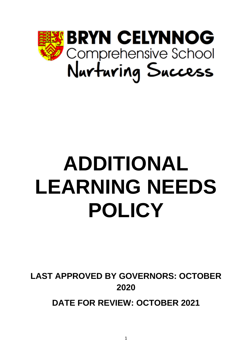

# **ADDITIONAL LEARNING NEEDS POLICY**

**LAST APPROVED BY GOVERNORS: OCTOBER 2020**

**DATE FOR REVIEW: OCTOBER 2021**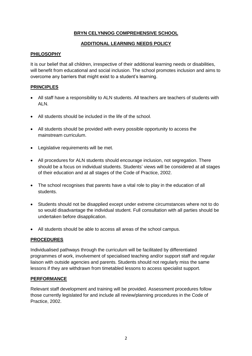# **BRYN CELYNNOG COMPREHENSIVE SCHOOL**

# **ADDITIONAL LEARNING NEEDS POLICY**

# **PHILOSOPHY**

It is our belief that all children, irrespective of their additional learning needs or disabilities, will benefit from educational and social inclusion. The school promotes inclusion and aims to overcome any barriers that might exist to a student's learning.

# **PRINCIPLES**

- All staff have a responsibility to ALN students. All teachers are teachers of students with ALN.
- All students should be included in the life of the school.
- All students should be provided with every possible opportunity to access the mainstream curriculum.
- Legislative requirements will be met.
- All procedures for ALN students should encourage inclusion, not segregation. There should be a focus on individual students. Students' views will be considered at all stages of their education and at all stages of the Code of Practice, 2002.
- The school recognises that parents have a vital role to play in the education of all students.
- Students should not be disapplied except under extreme circumstances where not to do so would disadvantage the individual student. Full consultation with all parties should be undertaken before disapplication.
- All students should be able to access all areas of the school campus.

# **PROCEDURES**

Individualised pathways through the curriculum will be facilitated by differentiated programmes of work, involvement of specialised teaching and/or support staff and regular liaison with outside agencies and parents. Students should not regularly miss the same lessons if they are withdrawn from timetabled lessons to access specialist support.

# **PERFORMANCE**

Relevant staff development and training will be provided. Assessment procedures follow those currently legislated for and include all review/planning procedures in the Code of Practice, 2002.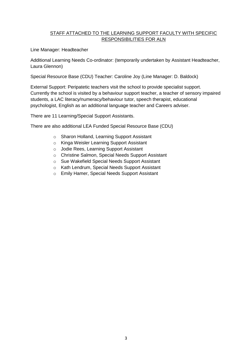# STAFF ATTACHED TO THE LEARNING SUPPORT FACULTY WITH SPECIFIC RESPONSIBILITIES FOR ALN

Line Manager: Headteacher

Additional Learning Needs Co-ordinator: (temporarily undertaken by Assistant Headteacher, Laura Glennon)

Special Resource Base (CDU) Teacher: Caroline Joy (Line Manager: D. Baldock)

External Support: Peripatetic teachers visit the school to provide specialist support. Currently the school is visited by a behaviour support teacher, a teacher of sensory impaired students, a LAC literacy/numeracy/behaviour tutor, speech therapist, educational psychologist, English as an additional language teacher and Careers adviser.

There are 11 Learning/Special Support Assistants.

There are also additional LEA Funded Special Resource Base (CDU)

- o Sharon Holland, Learning Support Assistant
- o Kinga Weisler Learning Support Assistant
- o Jodie Rees, Learning Support Assistant
- o Christine Salmon, Special Needs Support Assistant
- o Sue Wakefield Special Needs Support Assistant
- o Kath Lendrum, Special Needs Support Assistant
- o Emily Hamer, Special Needs Support Assistant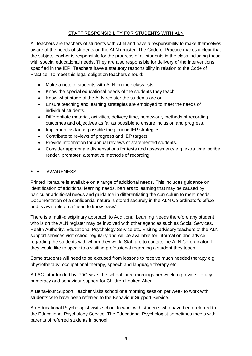# STAFF RESPONSIBILITY FOR STUDENTS WITH ALN

All teachers are teachers of students with ALN and have a responsibility to make themselves aware of the needs of students on the ALN register. The Code of Practice makes it clear that the subject teacher is responsible for the progress of all students in the class including those with special educational needs. They are also responsible for delivery of the interventions specified in the IEP. Teachers have a statutory responsibility in relation to the Code of Practice. To meet this legal obligation teachers should:

- Make a note of students with ALN on their class lists
- Know the special educational needs of the students they teach
- Know what stage of the ALN register the students are on.
- Ensure teaching and learning strategies are employed to meet the needs of individual students.
- Differentiate material, activities, delivery time, homework, methods of recording, outcomes and objectives as far as possible to ensure inclusion and progress.
- Implement as far as possible the generic IEP strategies
- Contribute to reviews of progress and IEP targets.
- Provide information for annual reviews of statemented students.
- Consider appropriate dispensations for tests and assessments e.g. extra time, scribe, reader, prompter, alternative methods of recording.

# STAFF AWARENESS

Printed literature is available on a range of additional needs. This includes guidance on identification of additional learning needs, barriers to learning that may be caused by particular additional needs and guidance in differentiating the curriculum to meet needs. Documentation of a confidential nature is stored securely in the ALN Co-ordinator's office and is available on a 'need to know basis'.

There is a multi-disciplinary approach to Additional Learning Needs therefore any student who is on the ALN register may be involved with other agencies such as Social Services, Health Authority, Educational Psychology Service etc. Visiting advisory teachers of the ALN support services visit school regularly and will be available for information and advice regarding the students with whom they work. Staff are to contact the ALN Co-ordinator if they would like to speak to a visiting professional regarding a student they teach.

Some students will need to be excused from lessons to receive much needed therapy e.g. physiotherapy, occupational therapy, speech and language therapy etc.

A LAC tutor funded by PDG visits the school three mornings per week to provide literacy, numeracy and behaviour support for Children Looked After.

A Behaviour Support Teacher visits school one morning session per week to work with students who have been referred to the Behaviour Support Service.

An Educational Psychologist visits school to work with students who have been referred to the Educational Psychology Service. The Educational Psychologist sometimes meets with parents of referred students in school.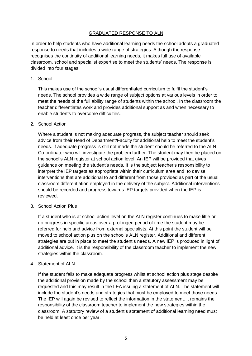## GRADUATED RESPONSE TO ALN

In order to help students who have additional learning needs the school adopts a graduated response to needs that includes a wide range of strategies. Although the response recognises the continuity of additional learning needs, it makes full use of available classroom, school and specialist expertise to meet the students' needs. The response is divided into four stages:

1. School

This makes use of the school's usual differentiated curriculum to fulfil the student's needs. The school provides a wide range of subject options at various levels in order to meet the needs of the full ability range of students within the school. In the classroom the teacher differentiates work and provides additional support as and when necessary to enable students to overcome difficulties.

#### 2. School Action

Where a student is not making adequate progress, the subject teacher should seek advice from their Head of Department/Faculty for additional help to meet the student's needs. If adequate progress is still not made the student should be referred to the ALN Co-ordinator who will investigate the problem further. The student may then be placed on the school's ALN register at school action level. An IEP will be provided that gives guidance on meeting the student's needs. It is the subject teacher's responsibility to interpret the IEP targets as appropriate within their curriculum area and to devise interventions that are additional to and different from those provided as part of the usual classroom differentiation employed in the delivery of the subject. Additional interventions should be recorded and progress towards IEP targets provided when the IEP is reviewed.

#### 3. School Action Plus

If a student who is at school action level on the ALN register continues to make little or no progress in specific areas over a prolonged period of time the student may be referred for help and advice from external specialists. At this point the student will be moved to school action plus on the school's ALN register. Additional and different strategies are put in place to meet the student's needs. A new IEP is produced in light of additional advice. It is the responsibility of the classroom teacher to implement the new strategies within the classroom.

#### 4. Statement of ALN

If the student fails to make adequate progress whilst at school action plus stage despite the additional provision made by the school then a statutory assessment may be requested and this may result in the LEA issuing a statement of ALN. The statement will include the student's needs and strategies that must be employed to meet those needs. The IEP will again be revised to reflect the information in the statement. It remains the responsibility of the classroom teacher to implement the new strategies within the classroom. A statutory review of a student's statement of additional learning need must be held at least once per year.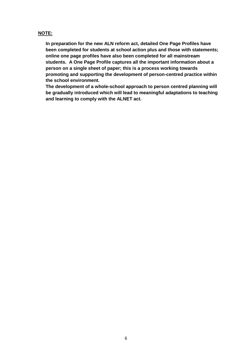### **NOTE:**

**In preparation for the new ALN reform act, detailed One Page Profiles have been completed for students at school action plus and those with statements; online one page profiles have also been completed for all mainstream students. A One Page Profile captures all the important information about a person on a single sheet of paper; this is a process working towards promoting and supporting the development of person-centred practice within the school environment.** 

**The development of a whole-school approach to person centred planning will be gradually introduced which will lead to meaningful adaptations to teaching and learning to comply with the ALNET act.**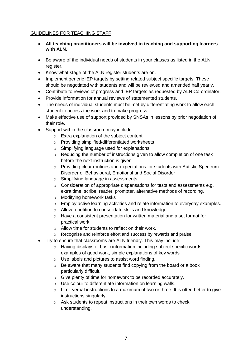# GUIDELINES FOR TEACHING STAFF

- **All teaching practitioners will be involved in teaching and supporting learners with ALN.**
- Be aware of the individual needs of students in your classes as listed in the ALN register.
- Know what stage of the ALN register students are on.
- Implement generic IEP targets by setting related subject specific targets. These should be negotiated with students and will be reviewed and amended half yearly.
- Contribute to reviews of progress and IEP targets as requested by ALN Co-ordinator.
- Provide information for annual reviews of statemented students.
- The needs of individual students must be met by differentiating work to allow each student to access the work and to make progress.
- Make effective use of support provided by SNSAs in lessons by prior negotiation of their role.
- Support within the classroom may include:
	- o Extra explanation of the subject content
	- o Providing simplified/differentiated worksheets
	- o Simplifying language used for explanations
	- $\circ$  Reducing the number of instructions given to allow completion of one task before the next instruction is given
	- $\circ$  Providing clear routines and expectations for students with Autistic Spectrum Disorder or Behavioural, Emotional and Social Disorder
	- o Simplifying language in assessments
	- o Consideration of appropriate dispensations for tests and assessments e.g. extra time, scribe, reader, prompter, alternative methods of recording.
	- o Modifying homework tasks
	- o Employ active learning activities and relate information to everyday examples.
	- o Allow repetition to consolidate skills and knowledge.
	- o Have a consistent presentation for written material and a set format for practical work.
	- o Allow time for students to reflect on their work.
	- o Recognise and reinforce effort and success by rewards and praise
- Try to ensure that classrooms are ALN friendly. This may include:
	- o Having displays of basic information including subject specific words, examples of good work, simple explanations of key words
	- o Use labels and pictures to assist word finding.
	- o Be aware that many students find copying from the board or a book particularly difficult.
	- o Give plenty of time for homework to be recorded accurately.
	- o Use colour to differentiate information on learning walls.
	- $\circ$  Limit verbal instructions to a maximum of two or three. It is often better to give instructions singularly.
	- o Ask students to repeat instructions in their own words to check understanding.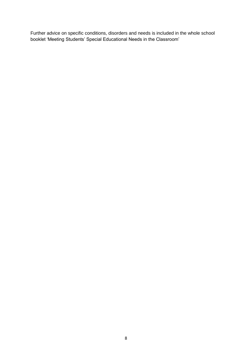Further advice on specific conditions, disorders and needs is included in the whole school booklet 'Meeting Students' Special Educational Needs in the Classroom'